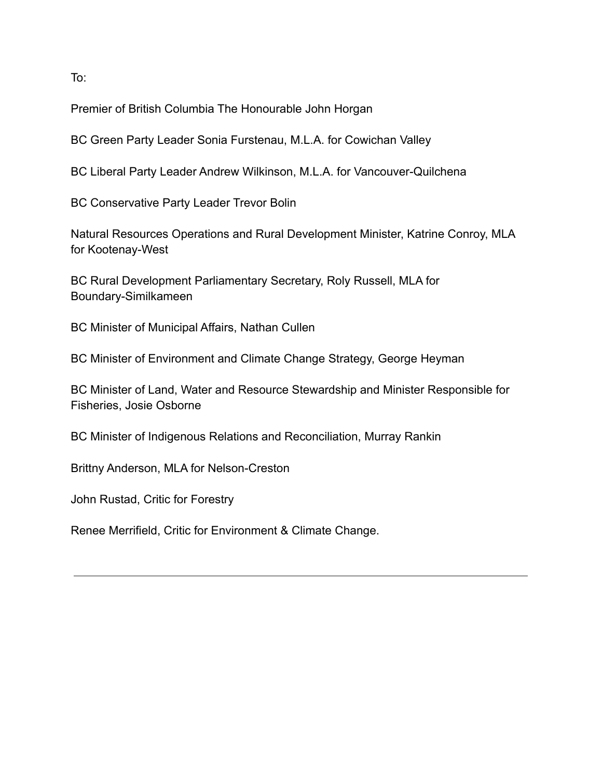To:

Premier of British Columbia The Honourable John Horgan

BC Green Party Leader Sonia Furstenau, M.L.A. for Cowichan Valley

BC Liberal Party Leader Andrew Wilkinson, M.L.A. for Vancouver-Quilchena

BC Conservative Party Leader Trevor Bolin

Natural Resources Operations and Rural Development Minister, Katrine Conroy, MLA for Kootenay-West

BC Rural Development Parliamentary Secretary, Roly Russell, MLA for Boundary-Similkameen

BC Minister of Municipal Affairs, Nathan Cullen

BC Minister of Environment and Climate Change Strategy, George Heyman

BC Minister of Land, Water and Resource Stewardship and Minister Responsible for Fisheries, Josie Osborne

BC Minister of Indigenous Relations and Reconciliation, Murray Rankin

Brittny Anderson, MLA for Nelson-Creston

John Rustad, Critic for Forestry

Renee Merrifield, Critic for Environment & Climate Change.